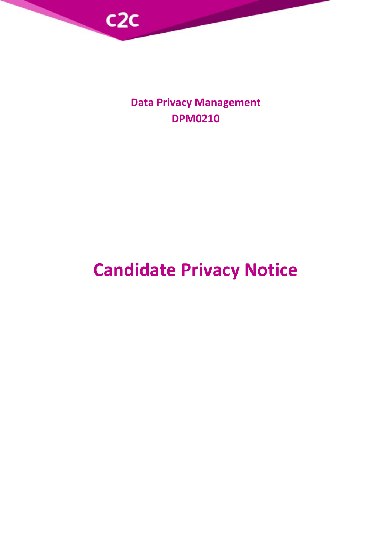

**Data Privacy Management DPM0210**

# **Candidate Privacy Notice**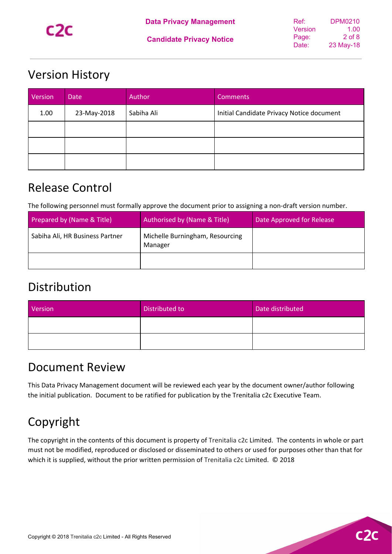

#### **Candidate Privacy Notice**

## <span id="page-1-0"></span>Version History

| Version | Date        | Author     | <b>Comments</b>                           |
|---------|-------------|------------|-------------------------------------------|
| 1.00    | 23-May-2018 | Sabiha Ali | Initial Candidate Privacy Notice document |
|         |             |            |                                           |
|         |             |            |                                           |
|         |             |            |                                           |

## <span id="page-1-1"></span>Release Control

The following personnel must formally approve the document prior to assigning a non-draft version number.

| Prepared by (Name & Title)      | Authorised by (Name & Title)               | Date Approved for Release |
|---------------------------------|--------------------------------------------|---------------------------|
| Sabiha Ali, HR Business Partner | Michelle Burningham, Resourcing<br>Manager |                           |
|                                 |                                            |                           |

## <span id="page-1-2"></span>Distribution

| Version | Distributed to | Date distributed |
|---------|----------------|------------------|
|         |                |                  |
|         |                |                  |

### <span id="page-1-3"></span>Document Review

This Data Privacy Management document will be reviewed each year by the document owner/author following the initial publication. Document to be ratified for publication by the Trenitalia c2c Executive Team.

## <span id="page-1-4"></span>Copyright

The copyright in the contents of this document is property of Trenitalia c2c Limited. The contents in whole or part must not be modified, reproduced or disclosed or disseminated to others or used for purposes other than that for which it is supplied, without the prior written permission of Trenitalia c2c Limited. © 2018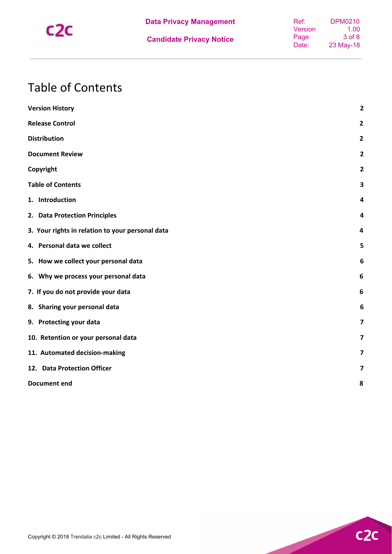

## <span id="page-2-0"></span>Table of Contents

| <b>Version History</b>                           | $\overline{2}$          |
|--------------------------------------------------|-------------------------|
| <b>Release Control</b>                           | $\overline{2}$          |
| <b>Distribution</b>                              | $\mathbf{2}$            |
| <b>Document Review</b>                           | $\overline{2}$          |
| Copyright                                        | $\overline{2}$          |
| <b>Table of Contents</b>                         | 3                       |
| 1. Introduction                                  | 4                       |
| 2. Data Protection Principles                    | 4                       |
| 3. Your rights in relation to your personal data | $\overline{\mathbf{4}}$ |
| 4. Personal data we collect                      | 5                       |
| 5. How we collect your personal data             | $6\phantom{1}6$         |
| 6. Why we process your personal data             | $6\phantom{1}$          |
| 7. If you do not provide your data               | 6                       |
| 8. Sharing your personal data                    | 6                       |
| 9. Protecting your data                          | $\overline{\mathbf{z}}$ |
| 10. Retention or your personal data              | $\overline{\mathbf{z}}$ |
| 11. Automated decision-making                    | $\overline{\mathbf{z}}$ |
| 12. Data Protection Officer                      | $\overline{\mathbf{z}}$ |
| <b>Document end</b>                              | 8                       |
|                                                  |                         |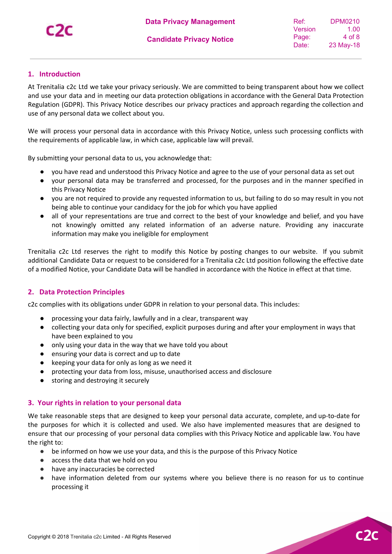**C20** 

#### <span id="page-3-0"></span>**1. Introduction**

At Trenitalia c2c Ltd we take your privacy seriously. We are committed to being transparent about how we collect and use your data and in meeting our data protection obligations in accordance with the General Data Protection Regulation (GDPR). This Privacy Notice describes our privacy practices and approach regarding the collection and use of any personal data we collect about you.

We will process your personal data in accordance with this Privacy Notice, unless such processing conflicts with the requirements of applicable law, in which case, applicable law will prevail.

By submitting your personal data to us, you acknowledge that:

- you have read and understood this Privacy Notice and agree to the use of your personal data as set out
- your personal data may be transferred and processed, for the purposes and in the manner specified in this Privacy Notice
- you are not required to provide any requested information to us, but failing to do so may result in you not being able to continue your candidacy for the job for which you have applied
- all of your representations are true and correct to the best of your knowledge and belief, and you have not knowingly omitted any related information of an adverse nature. Providing any inaccurate information may make you ineligible for employment

Trenitalia c2c Ltd reserves the right to modify this Notice by posting changes to our website. If you submit additional Candidate Data or request to be considered for a Trenitalia c2c Ltd position following the effective date of a modified Notice, your Candidate Data will be handled in accordance with the Notice in effect at that time.

#### <span id="page-3-1"></span>**2. Data Protection Principles**

c2c complies with its obligations under GDPR in relation to your personal data. This includes:

- processing your data fairly, lawfully and in a clear, transparent way
- collecting your data only for specified, explicit purposes during and after your employment in ways that have been explained to you
- only using your data in the way that we have told you about
- ensuring your data is correct and up to date
- keeping your data for only as long as we need it
- protecting your data from loss, misuse, unauthorised access and disclosure
- <span id="page-3-2"></span>● storing and destroying it securely

#### **3. Your rights in relation to your personal data**

We take reasonable steps that are designed to keep your personal data accurate, complete, and up-to-date for the purposes for which it is collected and used. We also have implemented measures that are designed to ensure that our processing of your personal data complies with this Privacy Notice and applicable law. You have the right to:

- be informed on how we use your data, and this is the purpose of this Privacy Notice
- access the data that we hold on you
- have any inaccuracies be corrected
- have information deleted from our systems where you believe there is no reason for us to continue processing it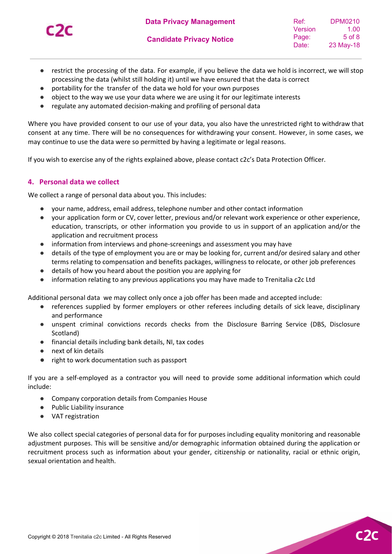

C20

- restrict the processing of the data. For example, if you believe the data we hold is incorrect, we will stop processing the data (whilst still holding it) until we have ensured that the data is correct
- portability for the transfer of the data we hold for your own purposes
- object to the way we use your data where we are using it for our legitimate interests
- regulate any automated decision-making and profiling of personal data

Where you have provided consent to our use of your data, you also have the unrestricted right to withdraw that consent at any time. There will be no consequences for withdrawing your consent. However, in some cases, we may continue to use the data were so permitted by having a legitimate or legal reasons.

<span id="page-4-0"></span>If you wish to exercise any of the rights explained above, please contact c2c's Data Protection Officer*.*

#### **4. Personal data we collect**

We collect a range of personal data about you. This includes:

- your name, address, email address, telephone number and other contact information
- your application form or CV, cover letter, previous and/or relevant work experience or other experience, education, transcripts, or other information you provide to us in support of an application and/or the application and recruitment process
- information from interviews and phone-screenings and assessment you may have
- details of the type of employment you are or may be looking for, current and/or desired salary and other terms relating to compensation and benefits packages, willingness to relocate, or other job preferences
- details of how you heard about the position you are applying for
- information relating to any previous applications you may have made to Trenitalia c2c Ltd

Additional personal data we may collect only once a job offer has been made and accepted include:

- references supplied by former employers or other referees including details of sick leave, disciplinary and performance
- unspent criminal convictions records checks from the Disclosure Barring Service (DBS, Disclosure Scotland)
- financial details including bank details, NI, tax codes
- next of kin details
- right to work documentation such as passport

If you are a self-employed as a contractor you will need to provide some additional information which could include:

- Company corporation details from Companies House
- Public Liability insurance
- VAT registration

We also collect special categories of personal data for for purposes including equality monitoring and reasonable adjustment purposes. This will be sensitive and/or demographic information obtained during the application or recruitment process such as information about your gender, citizenship or nationality, racial or ethnic origin, sexual orientation and health.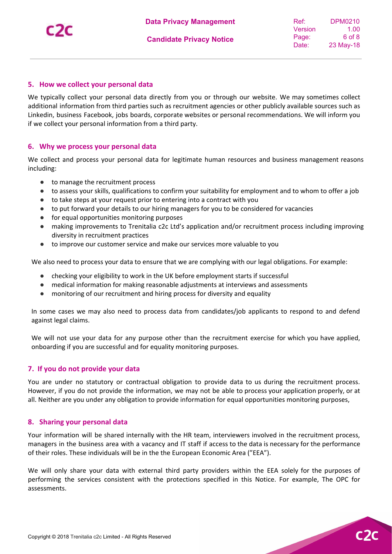C20

#### <span id="page-5-0"></span>**5. How we collect your personal data**

We typically collect your personal data directly from you or through our website. We may sometimes collect additional information from third parties such as recruitment agencies or other publicly available sources such as Linkedin, business Facebook, jobs boards, corporate websites or personal recommendations. We will inform you if we collect your personal information from a third party.

#### <span id="page-5-1"></span>**6. Why we process your personal data**

We collect and process your personal data for legitimate human resources and business management reasons including:

- to manage the recruitment process
- to assess your skills, qualifications to confirm your suitability for employment and to whom to offer a job
- to take steps at your request prior to entering into a contract with you
- to put forward your details to our hiring managers for you to be considered for vacancies
- for equal opportunities monitoring purposes
- making improvements to Trenitalia c2c Ltd's application and/or recruitment process including improving diversity in recruitment practices
- to improve our customer service and make our services more valuable to you

We also need to process your data to ensure that we are complying with our legal obligations. For example:

- checking your eligibility to work in the UK before employment starts if successful
- medical information for making reasonable adjustments at interviews and assessments
- monitoring of our recruitment and hiring process for diversity and equality

In some cases we may also need to process data from candidates/job applicants to respond to and defend against legal claims.

We will not use your data for any purpose other than the recruitment exercise for which you have applied, onboarding if you are successful and for equality monitoring purposes.

#### <span id="page-5-2"></span>**7. If you do not provide your data**

You are under no statutory or contractual obligation to provide data to us during the recruitment process. However, if you do not provide the information, we may not be able to process your application properly, or at all. Neither are you under any obligation to provide information for equal opportunities monitoring purposes,

#### <span id="page-5-3"></span>**8. Sharing your personal data**

Your information will be shared internally with the HR team, interviewers involved in the recruitment process, managers in the business area with a vacancy and IT staff if access to the data is necessary for the performance of their roles. These individuals will be in the the European Economic Area ("EEA").

We will only share your data with external third party providers within the EEA solely for the purposes of performing the services consistent with the protections specified in this Notice. For example, The OPC for assessments.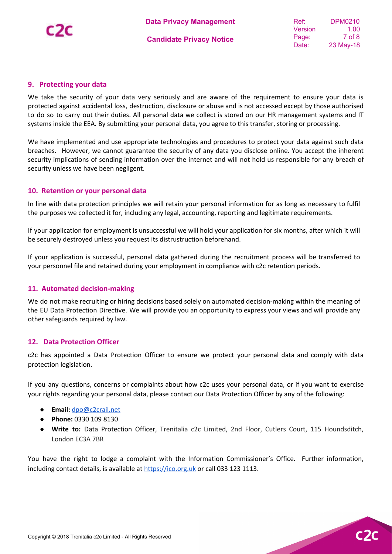#### <span id="page-6-0"></span>**9. Protecting your data**

We take the security of your data very seriously and are aware of the requirement to ensure your data is protected against accidental loss, destruction, disclosure or abuse and is not accessed except by those authorised to do so to carry out their duties. All personal data we collect is stored on our HR management systems and IT systems inside the EEA. By submitting your personal data, you agree to this transfer, storing or processing.

We have implemented and use appropriate technologies and procedures to protect your data against such data breaches. However, we cannot guarantee the security of any data you disclose online. You accept the inherent security implications of sending information over the internet and will not hold us responsible for any breach of security unless we have been negligent.

#### <span id="page-6-1"></span>**10. Retention or your personal data**

In line with data protection principles we will retain your personal information for as long as necessary to fulfil the purposes we collected it for, including any legal, accounting, reporting and legitimate requirements.

If your application for employment is unsuccessful we will hold your application for six months, after which it will be securely destroyed unless you request its distrustruction beforehand.

If your application is successful, personal data gathered during the recruitment process will be transferred to your personnel file and retained during your employment in compliance with c2c retention periods.

#### <span id="page-6-2"></span>**11. Automated decision-making**

We do not make recruiting or hiring decisions based solely on automated decision-making within the meaning of the EU Data Protection Directive. We will provide you an opportunity to express your views and will provide any other safeguards required by law.

#### <span id="page-6-3"></span>**12. Data Protection Officer**

c2c has appointed a Data Protection Officer to ensure we protect your personal data and comply with data protection legislation.

If you any questions, concerns or complaints about how c2c uses your personal data, or if you want to exercise your rights regarding your personal data, please contact our Data Protection Officer by any of the following:

- **Email:** [dpo@c2crail.net](mailto:dpo@c2crail.net)
- **Phone:** 0330 109 8130
- **Write to:** Data Protection Officer, Trenitalia c2c Limited, 2nd Floor, Cutlers Court, 115 Houndsditch, London EC3A 7BR

You have the right to lodge a complaint with the Information Commissioner's Office. Further information, including contact details, is available at [https://ico.org.uk](https://ico.org.uk/) or call 033 123 1113.